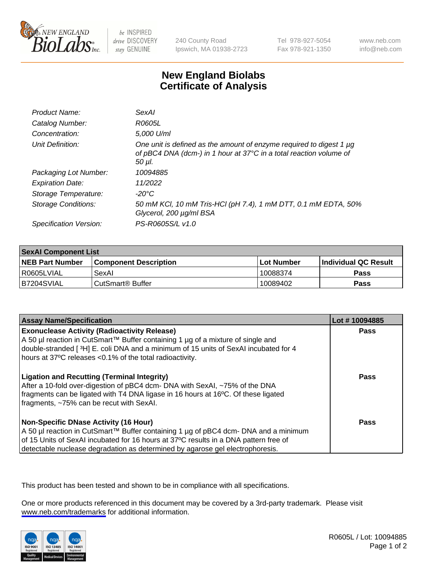

be INSPIRED drive DISCOVERY stay GENUINE

240 County Road Ipswich, MA 01938-2723 Tel 978-927-5054 Fax 978-921-1350

www.neb.com info@neb.com

## **New England Biolabs Certificate of Analysis**

| Product Name:           | SexAl                                                                                                                                               |
|-------------------------|-----------------------------------------------------------------------------------------------------------------------------------------------------|
| Catalog Number:         | R0605L                                                                                                                                              |
| Concentration:          | 5,000 U/ml                                                                                                                                          |
| Unit Definition:        | One unit is defined as the amount of enzyme required to digest 1 µg<br>of pBC4 DNA (dcm-) in 1 hour at 37°C in a total reaction volume of<br>50 µI. |
| Packaging Lot Number:   | 10094885                                                                                                                                            |
| <b>Expiration Date:</b> | 11/2022                                                                                                                                             |
| Storage Temperature:    | -20°C                                                                                                                                               |
| Storage Conditions:     | 50 mM KCI, 10 mM Tris-HCI (pH 7.4), 1 mM DTT, 0.1 mM EDTA, 50%<br>Glycerol, 200 µg/ml BSA                                                           |
| Specification Version:  | PS-R0605S/L v1.0                                                                                                                                    |

| <b>SexAl Component List</b> |                              |              |                             |  |
|-----------------------------|------------------------------|--------------|-----------------------------|--|
| <b>NEB Part Number</b>      | <b>Component Description</b> | l Lot Number | <b>Individual QC Result</b> |  |
| I R0605LVIAL                | SexAl                        | 10088374     | <b>Pass</b>                 |  |
| IB7204SVIAL                 | l CutSmart® Buffer           | 10089402     | <b>Pass</b>                 |  |

| <b>Assay Name/Specification</b>                                                                                                                                                                                                                                                                         | Lot #10094885 |
|---------------------------------------------------------------------------------------------------------------------------------------------------------------------------------------------------------------------------------------------------------------------------------------------------------|---------------|
| <b>Exonuclease Activity (Radioactivity Release)</b><br>A 50 µl reaction in CutSmart™ Buffer containing 1 µg of a mixture of single and<br>double-stranded [3H] E. coli DNA and a minimum of 15 units of SexAI incubated for 4<br>hours at 37°C releases <0.1% of the total radioactivity.               | Pass          |
| <b>Ligation and Recutting (Terminal Integrity)</b><br>After a 10-fold over-digestion of pBC4 dcm- DNA with SexAI, ~75% of the DNA<br>fragments can be ligated with T4 DNA ligase in 16 hours at 16°C. Of these ligated<br>fragments, ~75% can be recut with SexAI.                                      | Pass          |
| Non-Specific DNase Activity (16 Hour)<br>  A 50 µl reaction in CutSmart™ Buffer containing 1 µg of pBC4 dcm- DNA and a minimum<br>of 15 Units of SexAI incubated for 16 hours at 37°C results in a DNA pattern free of<br>detectable nuclease degradation as determined by agarose gel electrophoresis. | Pass          |

This product has been tested and shown to be in compliance with all specifications.

One or more products referenced in this document may be covered by a 3rd-party trademark. Please visit <www.neb.com/trademarks>for additional information.